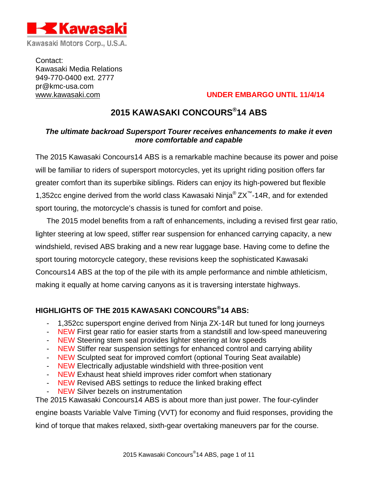

Contact: Kawasaki Media Relations 949-770-0400 ext. 2777 pr@kmc-usa.com

# www.kawasaki.com **UNDER EMBARGO UNTIL 11/4/14**

# **2015 KAWASAKI CONCOURS®14 ABS**

# *The ultimate backroad Supersport Tourer receives enhancements to make it even more comfortable and capable*

The 2015 Kawasaki Concours14 ABS is a remarkable machine because its power and poise will be familiar to riders of supersport motorcycles, yet its upright riding position offers far greater comfort than its superbike siblings. Riders can enjoy its high-powered but flexible 1,352cc engine derived from the world class Kawasaki Ninja® ZX™-14R, and for extended sport touring, the motorcycle's chassis is tuned for comfort and poise.

The 2015 model benefits from a raft of enhancements, including a revised first gear ratio, lighter steering at low speed, stiffer rear suspension for enhanced carrying capacity, a new windshield, revised ABS braking and a new rear luggage base. Having come to define the sport touring motorcycle category, these revisions keep the sophisticated Kawasaki Concours14 ABS at the top of the pile with its ample performance and nimble athleticism, making it equally at home carving canyons as it is traversing interstate highways.

# **HIGHLIGHTS OF THE 2015 KAWASAKI CONCOURS®14 ABS:**

- 1,352cc supersport engine derived from Ninja ZX-14R but tuned for long journeys
- NEW First gear ratio for easier starts from a standstill and low-speed maneuvering
- NEW Steering stem seal provides lighter steering at low speeds
- NEW Stiffer rear suspension settings for enhanced control and carrying ability
- NEW Sculpted seat for improved comfort (optional Touring Seat available)
- NEW Electrically adjustable windshield with three-position vent
- NEW Exhaust heat shield improves rider comfort when stationary
- NEW Revised ABS settings to reduce the linked braking effect
- NEW Silver bezels on instrumentation

The 2015 Kawasaki Concours14 ABS is about more than just power. The four-cylinder engine boasts Variable Valve Timing (VVT) for economy and fluid responses, providing the kind of torque that makes relaxed, sixth-gear overtaking maneuvers par for the course.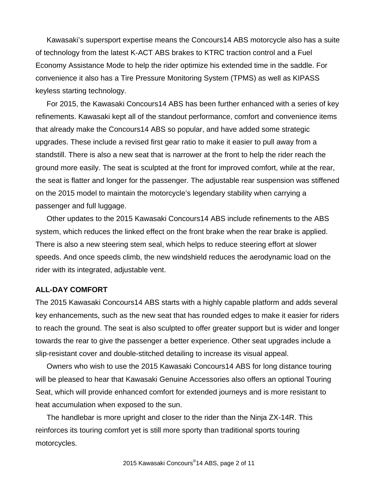Kawasaki's supersport expertise means the Concours14 ABS motorcycle also has a suite of technology from the latest K-ACT ABS brakes to KTRC traction control and a Fuel Economy Assistance Mode to help the rider optimize his extended time in the saddle. For convenience it also has a Tire Pressure Monitoring System (TPMS) as well as KIPASS keyless starting technology.

For 2015, the Kawasaki Concours14 ABS has been further enhanced with a series of key refinements. Kawasaki kept all of the standout performance, comfort and convenience items that already make the Concours14 ABS so popular, and have added some strategic upgrades. These include a revised first gear ratio to make it easier to pull away from a standstill. There is also a new seat that is narrower at the front to help the rider reach the ground more easily. The seat is sculpted at the front for improved comfort, while at the rear, the seat is flatter and longer for the passenger. The adjustable rear suspension was stiffened on the 2015 model to maintain the motorcycle's legendary stability when carrying a passenger and full luggage.

Other updates to the 2015 Kawasaki Concours14 ABS include refinements to the ABS system, which reduces the linked effect on the front brake when the rear brake is applied. There is also a new steering stem seal, which helps to reduce steering effort at slower speeds. And once speeds climb, the new windshield reduces the aerodynamic load on the rider with its integrated, adjustable vent.

## **ALL-DAY COMFORT**

The 2015 Kawasaki Concours14 ABS starts with a highly capable platform and adds several key enhancements, such as the new seat that has rounded edges to make it easier for riders to reach the ground. The seat is also sculpted to offer greater support but is wider and longer towards the rear to give the passenger a better experience. Other seat upgrades include a slip-resistant cover and double-stitched detailing to increase its visual appeal.

Owners who wish to use the 2015 Kawasaki Concours14 ABS for long distance touring will be pleased to hear that Kawasaki Genuine Accessories also offers an optional Touring Seat, which will provide enhanced comfort for extended journeys and is more resistant to heat accumulation when exposed to the sun.

The handlebar is more upright and closer to the rider than the Ninja ZX-14R. This reinforces its touring comfort yet is still more sporty than traditional sports touring motorcycles.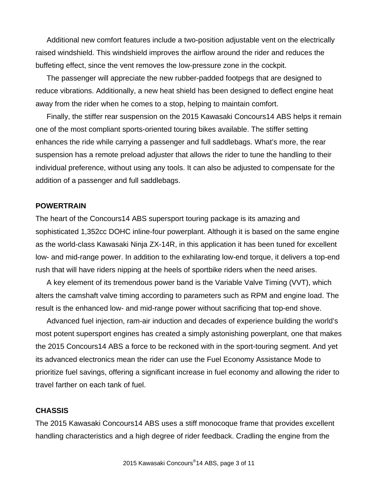Additional new comfort features include a two-position adjustable vent on the electrically raised windshield. This windshield improves the airflow around the rider and reduces the buffeting effect, since the vent removes the low-pressure zone in the cockpit.

The passenger will appreciate the new rubber-padded footpegs that are designed to reduce vibrations. Additionally, a new heat shield has been designed to deflect engine heat away from the rider when he comes to a stop, helping to maintain comfort.

Finally, the stiffer rear suspension on the 2015 Kawasaki Concours14 ABS helps it remain one of the most compliant sports-oriented touring bikes available. The stiffer setting enhances the ride while carrying a passenger and full saddlebags. What's more, the rear suspension has a remote preload adjuster that allows the rider to tune the handling to their individual preference, without using any tools. It can also be adjusted to compensate for the addition of a passenger and full saddlebags.

## **POWERTRAIN**

The heart of the Concours14 ABS supersport touring package is its amazing and sophisticated 1,352cc DOHC inline-four powerplant. Although it is based on the same engine as the world-class Kawasaki Ninja ZX-14R, in this application it has been tuned for excellent low- and mid-range power. In addition to the exhilarating low-end torque, it delivers a top-end rush that will have riders nipping at the heels of sportbike riders when the need arises.

A key element of its tremendous power band is the Variable Valve Timing (VVT), which alters the camshaft valve timing according to parameters such as RPM and engine load. The result is the enhanced low- and mid-range power without sacrificing that top-end shove.

Advanced fuel injection, ram-air induction and decades of experience building the world's most potent supersport engines has created a simply astonishing powerplant, one that makes the 2015 Concours14 ABS a force to be reckoned with in the sport-touring segment. And yet its advanced electronics mean the rider can use the Fuel Economy Assistance Mode to prioritize fuel savings, offering a significant increase in fuel economy and allowing the rider to travel farther on each tank of fuel.

## **CHASSIS**

The 2015 Kawasaki Concours14 ABS uses a stiff monocoque frame that provides excellent handling characteristics and a high degree of rider feedback. Cradling the engine from the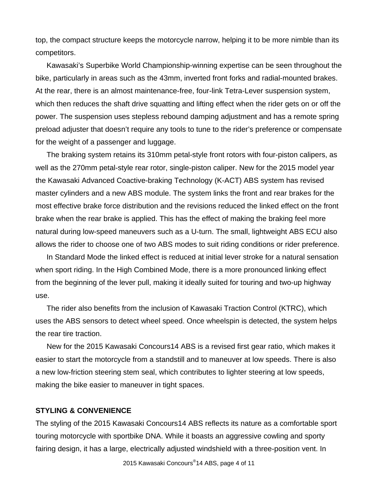top, the compact structure keeps the motorcycle narrow, helping it to be more nimble than its competitors.

Kawasaki's Superbike World Championship-winning expertise can be seen throughout the bike, particularly in areas such as the 43mm, inverted front forks and radial-mounted brakes. At the rear, there is an almost maintenance-free, four-link Tetra-Lever suspension system, which then reduces the shaft drive squatting and lifting effect when the rider gets on or off the power. The suspension uses stepless rebound damping adjustment and has a remote spring preload adjuster that doesn't require any tools to tune to the rider's preference or compensate for the weight of a passenger and luggage.

The braking system retains its 310mm petal-style front rotors with four-piston calipers, as well as the 270mm petal-style rear rotor, single-piston caliper. New for the 2015 model year the Kawasaki Advanced Coactive-braking Technology (K-ACT) ABS system has revised master cylinders and a new ABS module. The system links the front and rear brakes for the most effective brake force distribution and the revisions reduced the linked effect on the front brake when the rear brake is applied. This has the effect of making the braking feel more natural during low-speed maneuvers such as a U-turn. The small, lightweight ABS ECU also allows the rider to choose one of two ABS modes to suit riding conditions or rider preference.

In Standard Mode the linked effect is reduced at initial lever stroke for a natural sensation when sport riding. In the High Combined Mode, there is a more pronounced linking effect from the beginning of the lever pull, making it ideally suited for touring and two-up highway use.

The rider also benefits from the inclusion of Kawasaki Traction Control (KTRC), which uses the ABS sensors to detect wheel speed. Once wheelspin is detected, the system helps the rear tire traction.

New for the 2015 Kawasaki Concours14 ABS is a revised first gear ratio, which makes it easier to start the motorcycle from a standstill and to maneuver at low speeds. There is also a new low-friction steering stem seal, which contributes to lighter steering at low speeds, making the bike easier to maneuver in tight spaces.

## **STYLING & CONVENIENCE**

The styling of the 2015 Kawasaki Concours14 ABS reflects its nature as a comfortable sport touring motorcycle with sportbike DNA. While it boasts an aggressive cowling and sporty fairing design, it has a large, electrically adjusted windshield with a three-position vent. In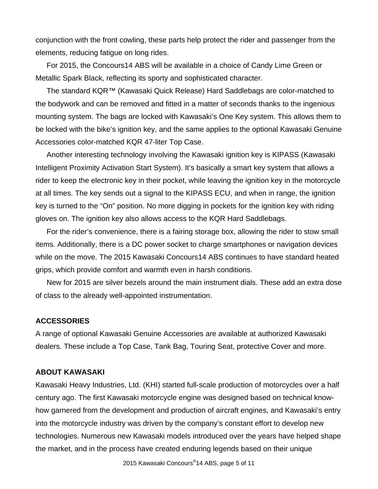conjunction with the front cowling, these parts help protect the rider and passenger from the elements, reducing fatigue on long rides.

For 2015, the Concours14 ABS will be available in a choice of Candy Lime Green or Metallic Spark Black, reflecting its sporty and sophisticated character.

The standard KQR™ (Kawasaki Quick Release) Hard Saddlebags are color-matched to the bodywork and can be removed and fitted in a matter of seconds thanks to the ingenious mounting system. The bags are locked with Kawasaki's One Key system. This allows them to be locked with the bike's ignition key, and the same applies to the optional Kawasaki Genuine Accessories color-matched KQR 47-liter Top Case.

Another interesting technology involving the Kawasaki ignition key is KIPASS (Kawasaki Intelligent Proximity Activation Start System). It's basically a smart key system that allows a rider to keep the electronic key in their pocket, while leaving the ignition key in the motorcycle at all times. The key sends out a signal to the KIPASS ECU, and when in range, the ignition key is turned to the "On" position. No more digging in pockets for the ignition key with riding gloves on. The ignition key also allows access to the KQR Hard Saddlebags.

For the rider's convenience, there is a fairing storage box, allowing the rider to stow small items. Additionally, there is a DC power socket to charge smartphones or navigation devices while on the move. The 2015 Kawasaki Concours14 ABS continues to have standard heated grips, which provide comfort and warmth even in harsh conditions.

New for 2015 are silver bezels around the main instrument dials. These add an extra dose of class to the already well-appointed instrumentation.

## **ACCESSORIES**

A range of optional Kawasaki Genuine Accessories are available at authorized Kawasaki dealers. These include a Top Case, Tank Bag, Touring Seat, protective Cover and more.

## **ABOUT KAWASAKI**

Kawasaki Heavy Industries, Ltd. (KHI) started full-scale production of motorcycles over a half century ago. The first Kawasaki motorcycle engine was designed based on technical knowhow garnered from the development and production of aircraft engines, and Kawasaki's entry into the motorcycle industry was driven by the company's constant effort to develop new technologies. Numerous new Kawasaki models introduced over the years have helped shape the market, and in the process have created enduring legends based on their unique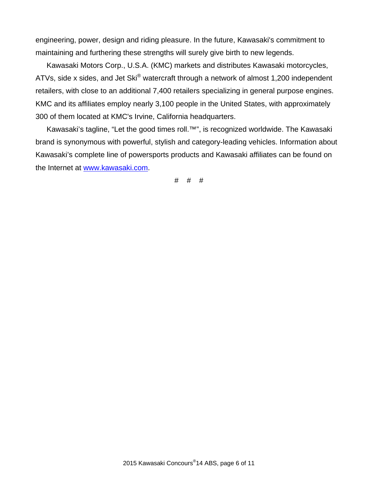engineering, power, design and riding pleasure. In the future, Kawasaki's commitment to maintaining and furthering these strengths will surely give birth to new legends.

Kawasaki Motors Corp., U.S.A. (KMC) markets and distributes Kawasaki motorcycles, ATVs, side x sides, and Jet Ski® watercraft through a network of almost 1,200 independent retailers, with close to an additional 7,400 retailers specializing in general purpose engines. KMC and its affiliates employ nearly 3,100 people in the United States, with approximately 300 of them located at KMC's Irvine, California headquarters.

Kawasaki's tagline, "Let the good times roll.™", is recognized worldwide. The Kawasaki brand is synonymous with powerful, stylish and category-leading vehicles. Information about Kawasaki's complete line of powersports products and Kawasaki affiliates can be found on the Internet at www.kawasaki.com.

# # #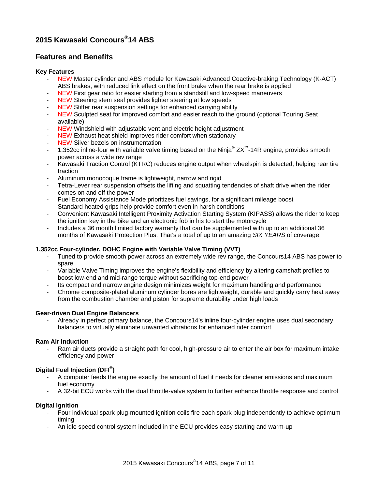# **2015 Kawasaki Concours®14 ABS**

# **Features and Benefits**

#### **Key Features**

- NEW Master cylinder and ABS module for Kawasaki Advanced Coactive-braking Technology (K-ACT) ABS brakes, with reduced link effect on the front brake when the rear brake is applied
- NEW First gear ratio for easier starting from a standstill and low-speed maneuvers
- NEW Steering stem seal provides lighter steering at low speeds
- NEW Stiffer rear suspension settings for enhanced carrying ability
- NEW Sculpted seat for improved comfort and easier reach to the ground (optional Touring Seat available)
- NEW Windshield with adjustable vent and electric height adjustment
- NEW Exhaust heat shield improves rider comfort when stationary
- NEW Silver bezels on instrumentation
- 1,352cc inline-four with variable valve timing based on the Ninja® ZX™-14R engine, provides smooth power across a wide rev range
- Kawasaki Traction Control (KTRC) reduces engine output when wheelspin is detected, helping rear tire traction
- Aluminum monocoque frame is lightweight, narrow and rigid
- Tetra-Lever rear suspension offsets the lifting and squatting tendencies of shaft drive when the rider comes on and off the power
- Fuel Economy Assistance Mode prioritizes fuel savings, for a significant mileage boost
- Standard heated grips help provide comfort even in harsh conditions
- Convenient Kawasaki Intelligent Proximity Activation Starting System (KIPASS) allows the rider to keep the ignition key in the bike and an electronic fob in his to start the motorcycle
- Includes a 36 month limited factory warranty that can be supplemented with up to an additional 36 months of Kawasaki Protection Plus. That's a total of up to an amazing *SIX YEARS* of coverage!

### **1,352cc Four-cylinder, DOHC Engine with Variable Valve Timing (VVT)**

- Tuned to provide smooth power across an extremely wide rev range, the Concours14 ABS has power to spare
- Variable Valve Timing improves the engine's flexibility and efficiency by altering camshaft profiles to boost low-end and mid-range torque without sacrificing top-end power
- Its compact and narrow engine design minimizes weight for maximum handling and performance
- Chrome composite-plated aluminum cylinder bores are lightweight, durable and quickly carry heat away from the combustion chamber and piston for supreme durability under high loads

#### **Gear-driven Dual Engine Balancers**

- Already in perfect primary balance, the Concours14's inline four-cylinder engine uses dual secondary balancers to virtually eliminate unwanted vibrations for enhanced rider comfort

#### **Ram Air Induction**

Ram air ducts provide a straight path for cool, high-pressure air to enter the air box for maximum intake efficiency and power

## **Digital Fuel Injection (DFI® )**

- A computer feeds the engine exactly the amount of fuel it needs for cleaner emissions and maximum fuel economy
- A 32-bit ECU works with the dual throttle-valve system to further enhance throttle response and control

#### **Digital Ignition**

- Four individual spark plug-mounted ignition coils fire each spark plug independently to achieve optimum timing
- An idle speed control system included in the ECU provides easy starting and warm-up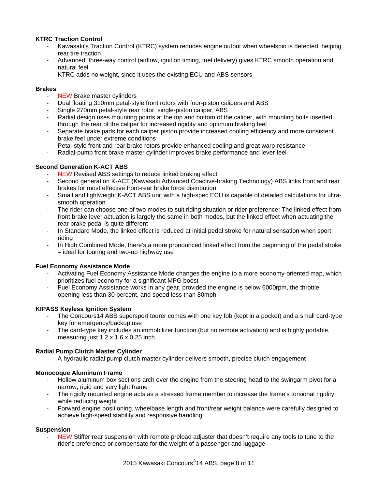## **KTRC Traction Control**

- Kawasaki's Traction Control (KTRC) system reduces engine output when wheelspin is detected, helping rear tire traction
- Advanced, three-way control (airflow, ignition timing, fuel delivery) gives KTRC smooth operation and natural feel
- KTRC adds no weight, since it uses the existing ECU and ABS sensors

#### **Brakes**

- NEW Brake master cylinders
- Dual floating 310mm petal-style front rotors with four-piston calipers and ABS
- Single 270mm petal-style rear rotor, single-piston caliper, ABS
- Radial design uses mounting points at the top and bottom of the caliper, with mounting bolts inserted through the rear of the caliper for increased rigidity and optimum braking feel
- Separate brake pads for each caliper piston provide increased cooling efficiency and more consistent brake feel under extreme conditions
- Petal-style front and rear brake rotors provide enhanced cooling and great warp-resistance
- Radial-pump front brake master cylinder improves brake performance and lever feel

### **Second Generation K-ACT ABS**

- **NEW Revised ABS settings to reduce linked braking effect**
- Second generation K-ACT (Kawasaki Advanced Coactive-braking Technology) ABS links front and rear brakes for most effective front-rear brake force distribution
- Small and lightweight K-ACT ABS unit with a high-spec ECU is capable of detailed calculations for ultrasmooth operation
- The rider can choose one of two modes to suit riding situation or rider preference: The linked effect from front brake lever actuation is largely the same in both modes, but the linked effect when actuating the rear brake pedal is quite different
- In Standard Mode, the linked effect is reduced at initial pedal stroke for natural sensation when sport riding
- In High Combined Mode, there's a more pronounced linked effect from the beginning of the pedal stroke – ideal for touring and two-up highway use

### **Fuel Economy Assistance Mode**

- Activating Fuel Economy Assistance Mode changes the engine to a more economy-oriented map, which prioritizes fuel economy for a significant MPG boost
- Fuel Economy Assistance works in any gear, provided the engine is below 6000rpm, the throttle opening less than 30 percent, and speed less than 80mph

### **KIPASS Keyless Ignition System**

- The Concours14 ABS supersport tourer comes with one key fob (kept in a pocket) and a small card-type key for emergency/backup use
- The card-type key includes an immobilizer function (but no remote activation) and is highly portable, measuring just 1.2 x 1.6 x 0.25 inch

### **Radial Pump Clutch Master Cylinder**

- A hydraulic radial pump clutch master cylinder delivers smooth, precise clutch engagement

### **Monocoque Aluminum Frame**

- Hollow aluminum box sections arch over the engine from the steering head to the swingarm pivot for a narrow, rigid and very light frame
- The rigidly mounted engine acts as a stressed frame member to increase the frame's torsional rigidity while reducing weight
- Forward engine positioning, wheelbase length and front/rear weight balance were carefully designed to achieve high-speed stability and responsive handling

### **Suspension**

NEW Stiffer rear suspension with remote preload adjuster that doesn't require any tools to tune to the rider's preference or compensate for the weight of a passenger and luggage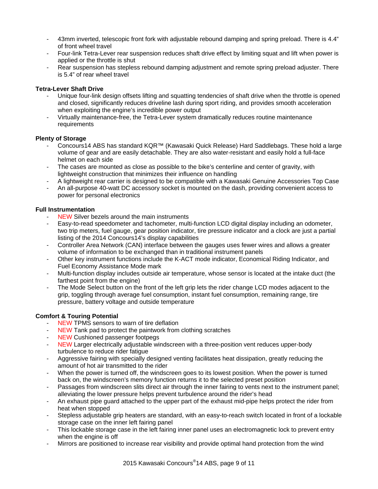- 43mm inverted, telescopic front fork with adjustable rebound damping and spring preload. There is 4.4" of front wheel travel
- Four-link Tetra-Lever rear suspension reduces shaft drive effect by limiting squat and lift when power is applied or the throttle is shut
- Rear suspension has stepless rebound damping adjustment and remote spring preload adjuster. There is 5.4" of rear wheel travel

## **Tetra-Lever Shaft Drive**

- Unique four-link design offsets lifting and squatting tendencies of shaft drive when the throttle is opened and closed, significantly reduces driveline lash during sport riding, and provides smooth acceleration when exploiting the engine's incredible power output
- Virtually maintenance-free, the Tetra-Lever system dramatically reduces routine maintenance requirements

#### **Plenty of Storage**

- Concours14 ABS has standard KQR™ (Kawasaki Quick Release) Hard Saddlebags. These hold a large volume of gear and are easily detachable. They are also water-resistant and easily hold a full-face helmet on each side
- The cases are mounted as close as possible to the bike's centerline and center of gravity, with lightweight construction that minimizes their influence on handling
- A lightweight rear carrier is designed to be compatible with a Kawasaki Genuine Accessories Top Case
- An all-purpose 40-watt DC accessory socket is mounted on the dash, providing convenient access to power for personal electronics

#### **Full Instrumentation**

- NEW Silver bezels around the main instruments
- Easy-to-read speedometer and tachometer, multi-function LCD digital display including an odometer, two trip meters, fuel gauge, gear position indicator, tire pressure indicator and a clock are just a partial listing of the 2014 Concours14's display capabilities
- Controller Area Network (CAN) interface between the gauges uses fewer wires and allows a greater volume of information to be exchanged than in traditional instrument panels
- Other key instrument functions include the K-ACT mode indicator, Economical Riding Indicator, and Fuel Economy Assistance Mode mark
- Multi-function display includes outside air temperature, whose sensor is located at the intake duct (the farthest point from the engine)
- The Mode Select button on the front of the left grip lets the rider change LCD modes adjacent to the grip, toggling through average fuel consumption, instant fuel consumption, remaining range, tire pressure, battery voltage and outside temperature

### **Comfort & Touring Potential**

- NEW TPMS sensors to warn of tire deflation
- NEW Tank pad to protect the paintwork from clothing scratches
- NEW Cushioned passenger footpegs
- NEW Larger electrically adjustable windscreen with a three-position vent reduces upper-body turbulence to reduce rider fatigue
- Aggressive fairing with specially designed venting facilitates heat dissipation, greatly reducing the amount of hot air transmitted to the rider
- When the power is turned off, the windscreen goes to its lowest position. When the power is turned back on, the windscreen's memory function returns it to the selected preset position
- Passages from windscreen slits direct air through the inner fairing to vents next to the instrument panel; alleviating the lower pressure helps prevent turbulence around the rider's head
- An exhaust pipe guard attached to the upper part of the exhaust mid-pipe helps protect the rider from heat when stopped
- Stepless adjustable grip heaters are standard, with an easy-to-reach switch located in front of a lockable storage case on the inner left fairing panel
- This lockable storage case in the left fairing inner panel uses an electromagnetic lock to prevent entry when the engine is off
- Mirrors are positioned to increase rear visibility and provide optimal hand protection from the wind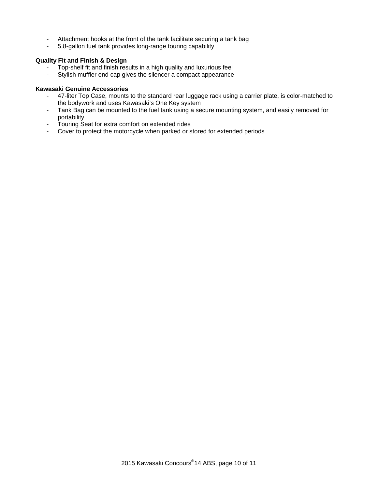- Attachment hooks at the front of the tank facilitate securing a tank bag
- 5.8-gallon fuel tank provides long-range touring capability

#### **Quality Fit and Finish & Design**

- Top-shelf fit and finish results in a high quality and luxurious feel<br>- Stylish muffler end cap gives the silencer a compact appearance
- Stylish muffler end cap gives the silencer a compact appearance

#### **Kawasaki Genuine Accessories**

- 47-liter Top Case, mounts to the standard rear luggage rack using a carrier plate, is color-matched to the bodywork and uses Kawasaki's One Key system
- Tank Bag can be mounted to the fuel tank using a secure mounting system, and easily removed for portability
- Touring Seat for extra comfort on extended rides
- Cover to protect the motorcycle when parked or stored for extended periods